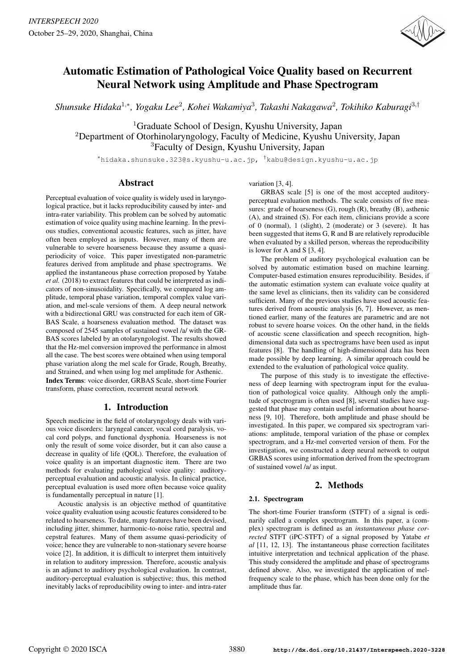

# Automatic Estimation of Pathological Voice Quality based on Recurrent Neural Network using Amplitude and Phase Spectrogram

*Shunsuke Hidaka*<sup>1</sup>,<sup>∗</sup> *, Yogaku Lee*<sup>2</sup> *, Kohei Wakamiya*<sup>3</sup> *, Takashi Nakagawa*<sup>2</sup> *, Tokihiko Kaburagi*<sup>3</sup>,†

<sup>1</sup>Graduate School of Design, Kyushu University, Japan <sup>2</sup>Department of Otorhinolaryngology, Faculty of Medicine, Kyushu University, Japan <sup>3</sup>Faculty of Design, Kyushu University, Japan

<sup>∗</sup>hidaka.shunsuke.323@s.kyushu-u.ac.jp, †kabu@design.kyushu-u.ac.jp

# Abstract

Perceptual evaluation of voice quality is widely used in laryngological practice, but it lacks reproducibility caused by inter- and intra-rater variability. This problem can be solved by automatic estimation of voice quality using machine learning. In the previous studies, conventional acoustic features, such as jitter, have often been employed as inputs. However, many of them are vulnerable to severe hoarseness because they assume a quasiperiodicity of voice. This paper investigated non-parametric features derived from amplitude and phase spectrograms. We applied the instantaneous phase correction proposed by Yatabe *et al.* (2018) to extract features that could be interpreted as indicators of non-sinusoidality. Specifically, we compared log amplitude, temporal phase variation, temporal complex value variation, and mel-scale versions of them. A deep neural network with a bidirectional GRU was constructed for each item of GR-BAS Scale, a hoarseness evaluation method. The dataset was composed of 2545 samples of sustained vowel /a/ with the GR-BAS scores labeled by an otolaryngologist. The results showed that the Hz-mel conversion improved the performance in almost all the case. The best scores were obtained when using temporal phase variation along the mel scale for Grade, Rough, Breathy, and Strained, and when using log mel amplitude for Asthenic. Index Terms: voice disorder, GRBAS Scale, short-time Fourier transform, phase correction, recurrent neural network

# 1. Introduction

Speech medicine in the field of otolaryngology deals with various voice disorders: laryngeal cancer, vocal cord paralysis, vocal cord polyps, and functional dysphonia. Hoarseness is not only the result of some voice disorder, but it can also cause a decrease in quality of life (QOL). Therefore, the evaluation of voice quality is an important diagnostic item. There are two methods for evaluating pathological voice quality: auditoryperceptual evaluation and acoustic analysis. In clinical practice, perceptual evaluation is used more often because voice quality is fundamentally perceptual in nature [1].

Acoustic analysis is an objective method of quantitative voice quality evaluation using acoustic features considered to be related to hoarseness. To date, many features have been devised, including jitter, shimmer, harmonic-to-noise ratio, spectral and cepstral features. Many of them assume quasi-periodicity of voice; hence they are vulnerable to non-stationary severe hoarse voice [2]. In addition, it is difficult to interpret them intuitively in relation to auditory impression. Therefore, acoustic analysis is an adjunct to auditory psychological evaluation. In contrast, auditory-perceptual evaluation is subjective; thus, this method inevitably lacks of reproducibility owing to inter- and intra-rater variation [3, 4].

GRBAS scale [5] is one of the most accepted auditoryperceptual evaluation methods. The scale consists of five measures: grade of hoarseness (G), rough (R), breathy (B), asthenic (A), and strained (S). For each item, clinicians provide a score of 0 (normal), 1 (slight), 2 (moderate) or 3 (severe). It has been suggested that items G, R and B are relatively reproducible when evaluated by a skilled person, whereas the reproducibility is lower for A and S [3, 4].

The problem of auditory psychological evaluation can be solved by automatic estimation based on machine learning. Computer-based estimation ensures reproducibility. Besides, if the automatic estimation system can evaluate voice quality at the same level as clinicians, then its validity can be considered sufficient. Many of the previous studies have used acoustic features derived from acoustic analysis [6, 7]. However, as mentioned earlier, many of the features are parametric and are not robust to severe hoarse voices. On the other hand, in the fields of acoustic scene classification and speech recognition, highdimensional data such as spectrograms have been used as input features [8]. The handling of high-dimensional data has been made possible by deep learning. A similar approach could be extended to the evaluation of pathological voice quality.

The purpose of this study is to investigate the effectiveness of deep learning with spectrogram input for the evaluation of pathological voice quality. Although only the amplitude of spectrogram is often used [8], several studies have suggested that phase may contain useful information about hoarseness [9, 10]. Therefore, both amplitude and phase should be investigated. In this paper, we compared six spectrogram variations: amplitude, temporal variation of the phase or complex spectrogram, and a Hz-mel converted version of them. For the investigation, we constructed a deep neural network to output GRBAS scores using information derived from the spectrogram of sustained vowel /a/ as input.

# 2. Methods

## 2.1. Spectrogram

The short-time Fourier transform (STFT) of a signal is ordinarily called a complex spectrogram. In this paper, a (complex) spectrogram is defined as an *instantaneous phase corrected* STFT (iPC-STFT) of a signal proposed by Yatabe *et al* [11, 12, 13]. The instantaneous phase correction facilitates intuitive interpretation and technical application of the phase. This study considered the amplitude and phase of spectrograms defined above. Also, we investigated the application of melfrequency scale to the phase, which has been done only for the amplitude thus far.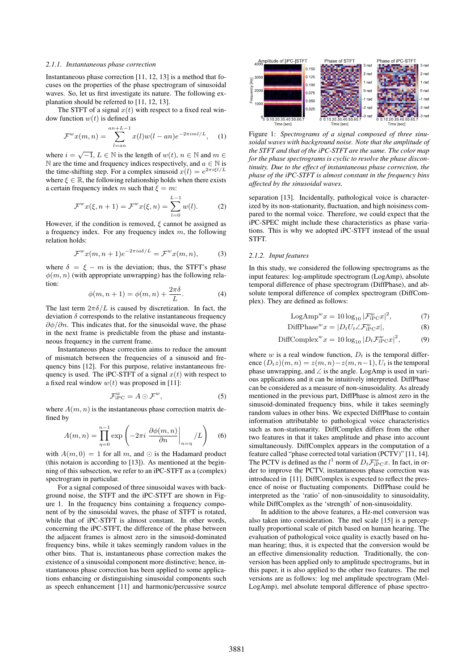#### *2.1.1. Instantaneous phase correction*

Instantaneous phase correction [11, 12, 13] is a method that focuses on the properties of the phase spectrogram of sinusoidal waves. So, let us first investigate its nature. The following explanation should be referred to [11, 12, 13].

The STFT of a signal  $x(t)$  with respect to a fixed real window function  $w(t)$  is defined as

$$
\mathcal{F}^w x(m,n) = \sum_{l=an}^{an+L-1} x(l) w(l-an) e^{-2\pi i m l/L}, \quad (1)
$$

where  $i = \sqrt{-1}$ ,  $L \in \mathbb{N}$  is the length of  $w(t)$ ,  $n \in \mathbb{N}$  and  $m \in \mathbb{N}$ N are the time and frequency indices respectively, and  $a \in \mathbb{N}$  is the time-shifting step. For a complex sinusoid  $x(l) = e^{2\pi i \xi l/L}$ where  $\xi \in \mathbb{R}$ , the following relationship holds when there exists a certain frequency index m such that  $\xi = m$ :

$$
\mathcal{F}^w x(\xi, n+1) = \mathcal{F}^w x(\xi, n) = \sum_{l=0}^{L-1} w(l). \tag{2}
$$

However, if the condition is removed,  $\xi$  cannot be assigned as a frequency index. For any frequency index  $m$ , the following relation holds:

$$
\mathcal{F}^w x(m, n+1) e^{-2\pi i a \delta/L} = \mathcal{F}^w x(m, n), \tag{3}
$$

where  $\delta = \xi - m$  is the deviation; thus, the STFT's phase  $\phi(m, n)$  (with appropriate unwrapping) has the following relation:

$$
\phi(m, n+1) = \phi(m, n) + \frac{2\pi\delta}{L}.
$$
 (4)

The last term  $2\pi\delta/L$  is caused by discretization. In fact, the deviation  $\delta$  corresponds to the relative instantaneous frequency  $\partial \phi / \partial n$ . This indicates that, for the sinusoidal wave, the phase in the next frame is predictable from the phase and instantaneous frequency in the current frame.

Instantaneous phase correction aims to reduce the amount of mismatch between the frequencies of a sinusoid and frequency bins [12]. For this purpose, relative instantaneous frequency is used. The iPC-STFT of a signal  $x(t)$  with respect to a fixed real window  $w(t)$  was proposed in [11]:

$$
\mathcal{F}_{\text{iPC}}^w = A \odot \mathcal{F}^w,\tag{5}
$$

where  $A(m, n)$  is the instantaneous phase correction matrix defined by

$$
A(m,n) = \prod_{\eta=0}^{n-1} \exp\left(-2\pi i \left. \frac{\partial \phi(m,n)}{\partial n} \right|_{n=\eta} / L\right) \tag{6}
$$

with  $A(m, 0) = 1$  for all m, and  $\odot$  is the Hadamard product (this notaion is according to [13]). As mentioned at the beginning of this subsection, we refer to an iPC-STFT as a (complex) spectrogram in particular.

For a signal composed of three sinusoidal waves with background noise, the STFT and the iPC-STFT are shown in Figure 1. In the frequency bins containing a frequency component of by the sinusoidal waves, the phase of STFT is rotated, while that of iPC-STFT is almost constant. In other words, concerning the iPC-STFT, the difference of the phase between the adjacent frames is almost zero in the sinusoid-dominated frequency bins, while it takes seemingly random values in the other bins. That is, instantaneous phase correction makes the existence of a sinusoidal component more distinctive; hence, instantaneous phase correction has been applied to some applications enhancing or distinguishing sinusoidal components such as speech enhancement [11] and harmonic/percussive source



Figure 1: *Spectrograms of a signal composed of three sinusoidal waves with background noise. Note that the amplitude of the STFT and that of the iPC-STFT are the same. The color map for the phase spectrograms is cyclic to resolve the phase discontinuity. Due to the effect of instantaneous phase correction, the phase of the iPC-STFT is almost constant in the frequency bins affected by the sinusoidal waves.*

separation [13]. Incidentally, pathological voice is characterized by its non-stationarity, fluctuation, and high noisiness compared to the normal voice. Therefore, we could expect that the iPC-SPEC might include these characteristics as phase variations. This is why we adopted iPC-STFT instead of the usual STFT.

#### *2.1.2. Input features*

In this study, we considered the following spectrograms as the input features: log-amplitude spectrogram (LogAmp), absolute temporal difference of phase spectrogram (DiffPhase), and absolute temporal difference of complex spectrogram (DiffComplex). They are defined as follows:

$$
LogAmpw x = 10 log10 |\mathcal{F}_{iPC}^w x|^2,
$$
 (7)

$$
\text{DiffPhase}^w x = |D_t U_t \angle \mathcal{F}_{iPC}^w x|,\tag{8}
$$

$$
\text{DiffComplex}^w x = 10 \log_{10} |D_t \mathcal{F}_{iPC}^w x|^2, \tag{9}
$$

where w is a real window function,  $D_t$  is the temporal difference  $(D_t z)(m, n) = z(m, n) - z(m, n-1)$ ,  $U_t$  is the temporal phase unwrapping, and ∠ is the angle. LogAmp is used in various applications and it can be intuitively interpreted. DiffPhase can be considered as a measure of non-sinusoidality. As already mentioned in the previous part, DiffPhase is almost zero in the sinusoid-dominated frequency bins, while it takes seemingly random values in other bins. We expected DiffPhase to contain information attributable to pathological voice characteristics such as non-stationarity. DiffComplex differs from the other two features in that it takes amplitude and phase into account simultaneously. DiffComplex appears in the computation of a feature called "phase corrected total variation (PCTV)" [11, 14]. The PCTV is defined as the  $l^1$  norm of  $D_t \mathcal{F}_{iP\cap}^w x$ . In fact, in order to improve the PCTV, instantaneous phase correction was introduced in [11]. DiffComplex is expected to reflect the presence of noise or fluctuating components. DiffPhase could be interpreted as the 'ratio' of non-sinusoidality to sinusoidality, while DiffComplex as the 'strength' of non-sinusoidality.

In addition to the above features, a Hz-mel conversion was also taken into consideration. The mel scale [15] is a perceptually proportional scale of pitch based on human hearing. The evaluation of pathological voice quality is exactly based on human hearing; thus, it is expected that the conversion would be an effective dimensionality reduction. Traditionally, the conversion has been applied only to amplitude spectrograms, but in this paper, it is also applied to the other two features. The mel versions are as follows: log mel amplitude spectrogram (Mel-LogAmp), mel absolute temporal difference of phase spectro-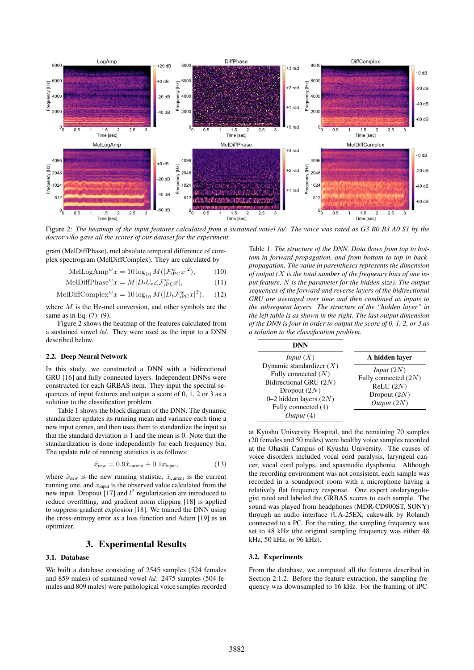

Figure 2: *The heatmap of the input features calculated from a sustained vowel /a/. The voice was rated as G3 R0 B3 A0 S1 by the doctor who gave all the scores of our dataset for the experiment.*

gram (MelDiffPhase), mel absolute temporal difference of complex spectrogram (MelDiffComplex). They are calculated by

$$
\text{MelLogAmp}^w x = 10 \log_{10} M(|\mathcal{F}_{iPC}^w x|^2),\tag{10}
$$

$$
\text{MelDiffPhase}^w x = M | D_t U_t \angle \mathcal{F}_{iPC}^w x |,
$$
\n(11)

$$
\text{MelDiffComplex}^w x = 10 \log_{10} M(|D_t \mathcal{F}_{iPC}^w x|^2), \quad (12)
$$

where  $M$  is the Hz-mel conversion, and other symbols are the same as in Eq.  $(7)$ – $(9)$ .

Figure 2 shows the heatmap of the features calculated from a sustained vowel /a/. They were used as the input to a DNN described below.

#### 2.2. Deep Neural Network

In this study, we constructed a DNN with a bidirectional GRU [16] and fully connected layers. Independent DNNs were constructed for each GRBAS item. They input the spectral sequences of input features and output a score of 0, 1, 2 or 3 as a solution to the classification problem.

Table 1 shows the block diagram of the DNN. The dynamic standardizer updates its running mean and variance each time a new input comes, and then uses them to standardize the input so that the standard deviation is 1 and the mean is 0. Note that the standardization is done independently for each frequency bin. The update rule of running statistics is as follows:

$$
\hat{x}_{\text{new}} = 0.9\hat{x}_{\text{current}} + 0.1x_{\text{input}},\tag{13}
$$

where  $\hat{x}_{new}$  is the new running statistic,  $\hat{x}_{current}$  is the current running one, and  $x_{input}$  is the observed value calculated from the new input. Dropout [17] and  $l^2$  regularization are introduced to reduce overfitting, and gradient norm clipping [18] is applied to suppress gradient explosion [18]. We trained the DNN using the cross-entropy error as a loss function and Adam [19] as an optimizer.

# 3. Experimental Results

## 3.1. Database

We built a database consisting of 2545 samples (524 females and 859 males) of sustained vowel /a/. 2475 samples (504 females and 809 males) were pathological voice samples recorded

Table 1: *The structure of the DNN. Data flows from top to bottom in forward propagation, and from bottom to top in backpropagation. The value in parentheses represents the dimension of output (*X *is the total number of the frequency bins of one input feature,* N *is the parameter for the hidden size). The output sequences of the forward and reverse layers of the bidirectional GRU are averaged over time and then combined as inputs to the subsequent layers. The structure of the "hidden layer" in the left table is as shown in the right. The last output dimension of the DNN is four in order to output the score of 0, 1, 2, or 3 as a solution to the classification problem.*

| DNN                                                                                                                                                                                        |                                                                                              |  |  |
|--------------------------------------------------------------------------------------------------------------------------------------------------------------------------------------------|----------------------------------------------------------------------------------------------|--|--|
| <i>Input</i> $(X)$<br>Dynamic standardizer $(X)$<br>Fully connected $(N)$<br>Bidirectional GRU $(2N)$<br>Dropout $(2N)$<br>0–2 hidden layers $(2N)$<br>Fully connected (4)<br>Output $(4)$ | A hidden layer                                                                               |  |  |
|                                                                                                                                                                                            | <i>Input</i> $(2N)$<br>Fully connected $(2N)$<br>ReLU(2N)<br>Dropout $(2N)$<br>Output $(2N)$ |  |  |

at Kyushu University Hospital, and the remaining 70 samples (20 females and 50 males) were healthy voice samples recorded at the Ohashi Campus of Kyushu University. The causes of voice disorders included vocal cord paralysis, laryngeal cancer, vocal cord polyps, and spasmodic dysphonia. Although the recording environment was not consistent, each sample was recorded in a soundproof room with a microphone having a relatively flat frequency response. One expert otolaryngologist rated and labeled the GRBAS scores to each sample. The sound was played from headphones (MDR-CD900ST, SONY) through an audio interface (UA-25EX, cakewalk by Roland) connected to a PC. For the rating, the sampling frequency was set to 48 kHz (the original sampling frequency was either 48 kHz, 50 kHz, or 96 kHz).

### 3.2. Experiments

From the database, we computed all the features described in Section 2.1.2. Before the feature extraction, the sampling frequency was downsampled to 16 kHz. For the framing of iPC-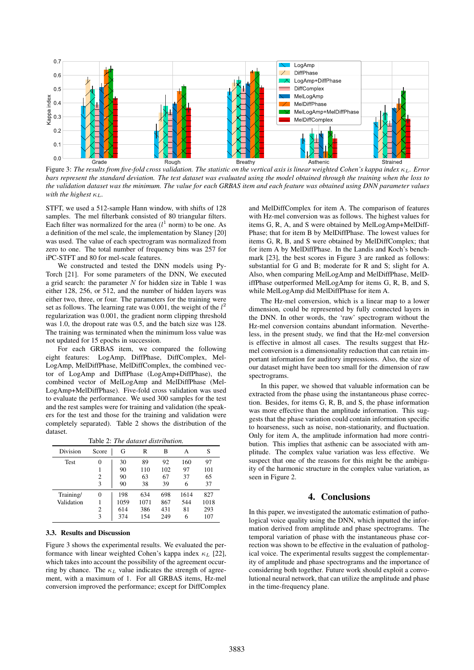

Figure 3: The results from five-fold cross validation. The statistic on the vertical axis is linear weighted Cohen's kappa index κ<sub>L</sub>. Error *bars represent the standard deviation. The test dataset was evaluated using the model obtained through the training when the loss to the validation dataset was the minimum. The value for each GRBAS item and each feature was obtained using DNN parameter values* with the highest  $\kappa_L$ .

STFT, we used a 512-sample Hann window, with shifts of 128 samples. The mel filterbank consisted of 80 triangular filters. Each filter was normalized for the area  $(l<sup>1</sup>$  norm) to be one. As a definition of the mel scale, the implementation by Slaney [20] was used. The value of each spectrogram was normalized from zero to one. The total number of frequency bins was 257 for iPC-STFT and 80 for mel-scale features.

We constructed and tested the DNN models using Py-Torch [21]. For some parameters of the DNN, We executed a grid search: the parameter  $N$  for hidden size in Table 1 was either 128, 256, or 512, and the number of hidden layers was either two, three, or four. The parameters for the training were set as follows. The learning rate was 0.001, the weight of the  $l^2$ regularization was 0.001, the gradient norm clipping threshold was 1.0, the dropout rate was 0.5, and the batch size was 128. The training was terminated when the minimum loss value was not updated for 15 epochs in succession.

For each GRBAS item, we compared the following eight features: LogAmp, DiffPhase, DiffComplex, Mel-LogAmp, MelDiffPhase, MelDiffComplex, the combined vector of LogAmp and DiffPhase (LogAmp+DiffPhase), the combined vector of MelLogAmp and MelDiffPhase (Mel-LogAmp+MelDiffPhase). Five-fold cross validation was used to evaluate the performance. We used 300 samples for the test and the rest samples were for training and validation (the speakers for the test and those for the training and validation were completely separated). Table 2 shows the distribution of the dataset.

|  |  | Table 2: The dataset distribution. |
|--|--|------------------------------------|
|--|--|------------------------------------|

| Division   | Score | G    | R    | В   | А    | S    |
|------------|-------|------|------|-----|------|------|
| Test       | 0     | 30   | 89   | 92  | 160  | 97   |
|            |       | 90   | 110  | 102 | 97   | 101  |
|            | 2     | 90   | 63   | 67  | 37   | 65   |
|            | 3     | 90   | 38   | 39  | 6    | 37   |
| Training/  | 0     | 198  | 634  | 698 | 1614 | 827  |
| Validation |       | 1059 | 1071 | 867 | 544  | 1018 |
|            | 2     | 614  | 386  | 431 | 81   | 293  |
|            | 3     | 374  | 154  | 249 | 6    | 107  |

#### 3.3. Results and Discussion

Figure 3 shows the experimental results. We evaluated the performance with linear weighted Cohen's kappa index  $\kappa_L$  [22], which takes into account the possibility of the agreement occurring by chance. The  $\kappa_L$  value indicates the strength of agreement, with a maximum of 1. For all GRBAS items, Hz-mel conversion improved the performance; except for DiffComplex and MelDiffComplex for item A. The comparison of features with Hz-mel conversion was as follows. The highest values for items G, R, A, and S were obtained by MelLogAmp+MelDiff-Phase; that for item B by MelDiffPhase. The lowest values for items G, R, B, and S were obtained by MelDiffComplex; that for item A by MelDiffPhase. In the Landis and Koch's benchmark [23], the best scores in Figure 3 are ranked as follows: substantial for G and B; moderate for R and S; slight for A. Also, when comparing MelLogAmp and MelDiffPhase, MelDiffPhase outperformed MelLogAmp for items G, R, B, and S, while MelLogAmp did MelDiffPhase for item A.

The Hz-mel conversion, which is a linear map to a lower dimension, could be represented by fully connected layers in the DNN. In other words, the 'raw' spectrogram without the Hz-mel conversion contains abundant information. Nevertheless, in the present study, we find that the Hz-mel conversion is effective in almost all cases. The results suggest that Hzmel conversion is a dimensionality reduction that can retain important information for auditory impressions. Also, the size of our dataset might have been too small for the dimension of raw spectrograms.

In this paper, we showed that valuable information can be extracted from the phase using the instantaneous phase correction. Besides, for items G, R, B, and S, the phase information was more effective than the amplitude information. This suggests that the phase variation could contain information specific to hoarseness, such as noise, non-stationarity, and fluctuation. Only for item A, the amplitude information had more contribution. This implies that asthenic can be associated with amplitude. The complex value variation was less effective. We suspect that one of the reasons for this might be the ambiguity of the harmonic structure in the complex value variation, as seen in Figure 2.

## 4. Conclusions

In this paper, we investigated the automatic estimation of pathological voice quality using the DNN, which inputted the information derived from amplitude and phase spectrograms. The temporal variation of phase with the instantaneous phase correction was shown to be effective in the evaluation of pathological voice. The experimental results suggest the complementarity of amplitude and phase spectrograms and the importance of considering both together. Future work should exploit a convolutional neural network, that can utilize the amplitude and phase in the time-frequency plane.